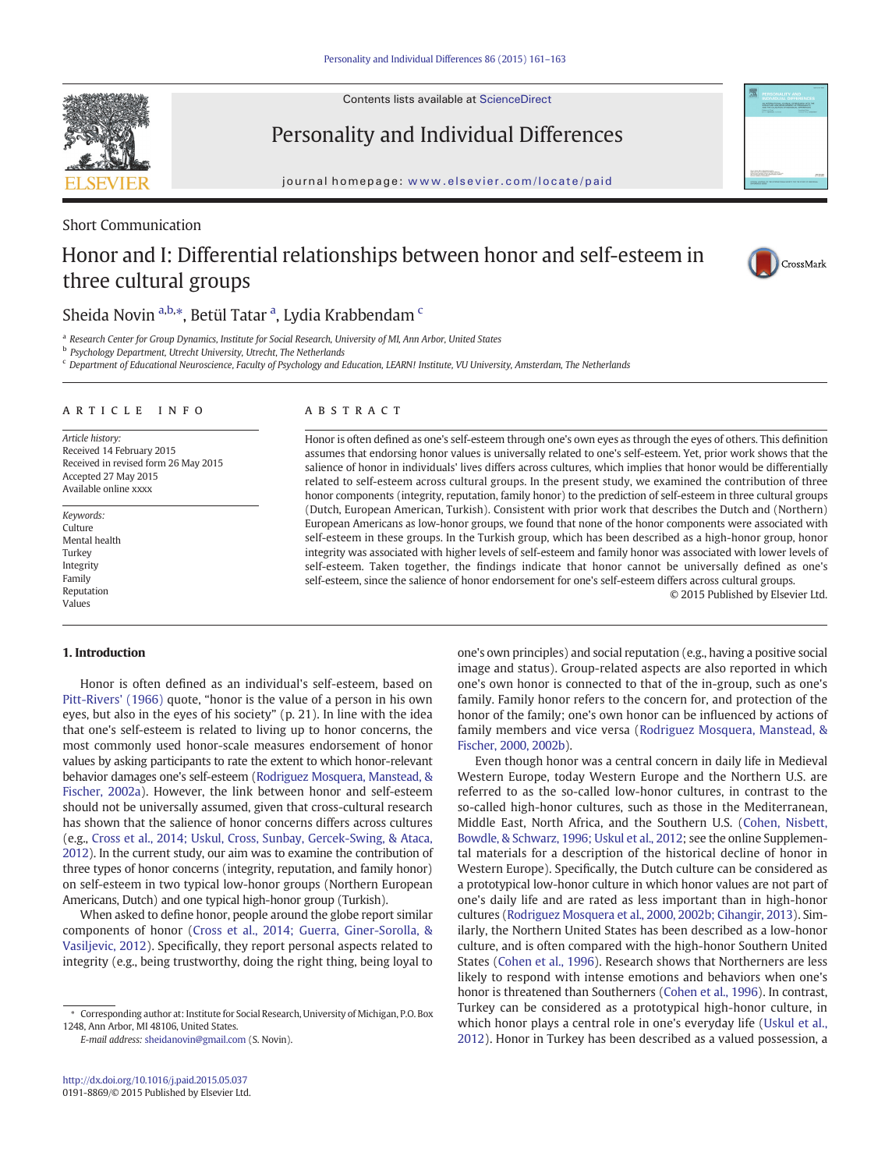Contents lists available at [ScienceDirect](http://www.sciencedirect.com/science/journal/)

Personality and Individual Differences

journal homepage: <www.elsevier.com/locate/paid>

## Short Communication

# Honor and I: Differential relationships between honor and self-esteem in three cultural groups



# Sheida Novin <sup>a,b,</sup>\*, Betül Tatar <sup>a</sup>, Lydia Krabbendam <sup>c</sup>

a Research Center for Group Dynamics, Institute for Social Research, University of MI, Ann Arbor, United States

**b** Psychology Department, Utrecht University, Utrecht, The Netherlands

<sup>c</sup> Department of Educational Neuroscience, Faculty of Psychology and Education, LEARN! Institute, VU University, Amsterdam, The Netherlands

#### article info abstract

Article history: Received 14 February 2015 Received in revised form 26 May 2015 Accepted 27 May 2015 Available online xxxx

Keywords: Culture Mental health **Turkey** Integrity Family Reputation Values

### 1. Introduction

Honor is often defined as an individual's self-esteem, based on [Pitt-Rivers' \(1966\)](#page-2-0) quote, "honor is the value of a person in his own eyes, but also in the eyes of his society" (p. 21). In line with the idea that one's self-esteem is related to living up to honor concerns, the most commonly used honor-scale measures endorsement of honor values by asking participants to rate the extent to which honor-relevant behavior damages one's self-esteem [\(Rodriguez Mosquera, Manstead, &](#page-2-0) [Fischer, 2002a\)](#page-2-0). However, the link between honor and self-esteem should not be universally assumed, given that cross-cultural research has shown that the salience of honor concerns differs across cultures (e.g., [Cross et al., 2014; Uskul, Cross, Sunbay, Gercek-Swing, & Ataca,](#page-2-0) [2012](#page-2-0)). In the current study, our aim was to examine the contribution of three types of honor concerns (integrity, reputation, and family honor) on self-esteem in two typical low-honor groups (Northern European Americans, Dutch) and one typical high-honor group (Turkish).

When asked to define honor, people around the globe report similar components of honor [\(Cross et al., 2014; Guerra, Giner-Sorolla, &](#page-2-0) [Vasiljevic, 2012](#page-2-0)). Specifically, they report personal aspects related to integrity (e.g., being trustworthy, doing the right thing, being loyal to

E-mail address: [sheidanovin@gmail.com](mailto:sheidanovin@gmail.com) (S. Novin).

Honor is often defined as one's self-esteem through one's own eyes as through the eyes of others. This definition assumes that endorsing honor values is universally related to one's self-esteem. Yet, prior work shows that the salience of honor in individuals' lives differs across cultures, which implies that honor would be differentially related to self-esteem across cultural groups. In the present study, we examined the contribution of three honor components (integrity, reputation, family honor) to the prediction of self-esteem in three cultural groups (Dutch, European American, Turkish). Consistent with prior work that describes the Dutch and (Northern) European Americans as low-honor groups, we found that none of the honor components were associated with self-esteem in these groups. In the Turkish group, which has been described as a high-honor group, honor integrity was associated with higher levels of self-esteem and family honor was associated with lower levels of self-esteem. Taken together, the findings indicate that honor cannot be universally defined as one's self-esteem, since the salience of honor endorsement for one's self-esteem differs across cultural groups.

© 2015 Published by Elsevier Ltd.

one's own principles) and social reputation (e.g., having a positive social image and status). Group-related aspects are also reported in which one's own honor is connected to that of the in-group, such as one's family. Family honor refers to the concern for, and protection of the honor of the family; one's own honor can be influenced by actions of family members and vice versa ([Rodriguez Mosquera, Manstead, &](#page-2-0) [Fischer, 2000, 2002b](#page-2-0)).

Even though honor was a central concern in daily life in Medieval Western Europe, today Western Europe and the Northern U.S. are referred to as the so-called low-honor cultures, in contrast to the so-called high-honor cultures, such as those in the Mediterranean, Middle East, North Africa, and the Southern U.S. [\(Cohen, Nisbett,](#page-2-0) [Bowdle, & Schwarz, 1996; Uskul et al., 2012](#page-2-0); see the online Supplemental materials for a description of the historical decline of honor in Western Europe). Specifically, the Dutch culture can be considered as a prototypical low-honor culture in which honor values are not part of one's daily life and are rated as less important than in high-honor cultures [\(Rodriguez Mosquera et al., 2000, 2002b; Cihangir, 2013\)](#page-2-0). Similarly, the Northern United States has been described as a low-honor culture, and is often compared with the high-honor Southern United States [\(Cohen et al., 1996](#page-2-0)). Research shows that Northerners are less likely to respond with intense emotions and behaviors when one's honor is threatened than Southerners ([Cohen et al., 1996](#page-2-0)). In contrast, Turkey can be considered as a prototypical high-honor culture, in which honor plays a central role in one's everyday life [\(Uskul et al.,](#page-2-0) [2012\)](#page-2-0). Honor in Turkey has been described as a valued possession, a



<sup>⁎</sup> Corresponding author at: Institute for Social Research, University of Michigan, P.O. Box 1248, Ann Arbor, MI 48106, United States.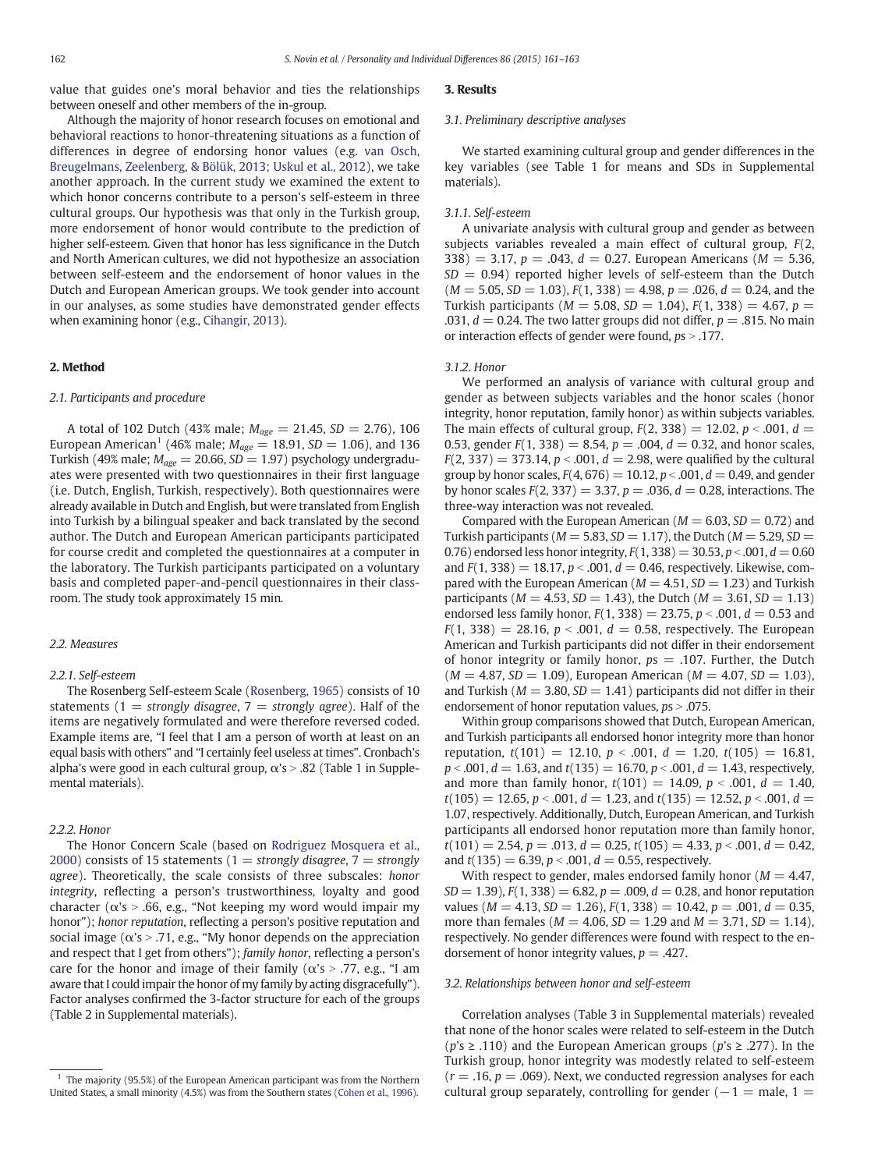value that guides one's moral behavior and ties the relationships between oneself and other members of the in-group.

Although the majority of honor research focuses on emotional and behavioral reactions to honor-threatening situations as a function of differences in degree of endorsing honor values (e.g. [van Osch,](#page-2-0) [Breugelmans, Zeelenberg, & Bölük, 2013; Uskul et al., 2012](#page-2-0)), we take another approach. In the current study we examined the extent to which honor concerns contribute to a person's self-esteem in three cultural groups. Our hypothesis was that only in the Turkish group, more endorsement of honor would contribute to the prediction of higher self-esteem. Given that honor has less significance in the Dutch and North American cultures, we did not hypothesize an association between self-esteem and the endorsement of honor values in the Dutch and European American groups. We took gender into account in our analyses, as some studies have demonstrated gender effects when examining honor (e.g., [Cihangir, 2013\)](#page-2-0).

#### 2. Method

#### 2.1. Participants and procedure

A total of 102 Dutch (43% male;  $M_{age} = 21.45$ ,  $SD = 2.76$ ), 106 European American<sup>1</sup> (46% male;  $M_{\text{age}} = 18.91$ ,  $SD = 1.06$ ), and 136 Turkish (49% male;  $M_{age} = 20.66$ ,  $SD = 1.97$ ) psychology undergraduates were presented with two questionnaires in their first language (i.e. Dutch, English, Turkish, respectively). Both questionnaires were already available in Dutch and English, but were translated from English into Turkish by a bilingual speaker and back translated by the second author. The Dutch and European American participants participated for course credit and completed the questionnaires at a computer in the laboratory. The Turkish participants participated on a voluntary basis and completed paper-and-pencil questionnaires in their classroom. The study took approximately 15 min.

#### 2.2. Measures

#### 2.2.1. Self-esteem

The Rosenberg Self-esteem Scale ([Rosenberg, 1965](#page-2-0)) consists of 10 statements (1 = strongly disagree, 7 = strongly agree). Half of the items are negatively formulated and were therefore reversed coded. Example items are, "I feel that I am a person of worth at least on an equal basis with others" and "I certainly feel useless at times". Cronbach's alpha's were good in each cultural group,  $\alpha$ 's > .82 (Table 1 in Supplemental materials).

#### 2.2.2. Honor

The Honor Concern Scale (based on [Rodriguez Mosquera et al.,](#page-2-0) [2000](#page-2-0)) consists of 15 statements (1 = strongly disagree, 7 = strongly agree). Theoretically, the scale consists of three subscales: honor integrity, reflecting a person's trustworthiness, loyalty and good character ( $\alpha$ 's > .66, e.g., "Not keeping my word would impair my honor"); honor reputation, reflecting a person's positive reputation and social image ( $\alpha$ 's > .71, e.g., "My honor depends on the appreciation and respect that I get from others"); family honor, reflecting a person's care for the honor and image of their family ( $\alpha$ 's > .77, e.g., "I am aware that I could impair the honor of my family by acting disgracefully"). Factor analyses confirmed the 3-factor structure for each of the groups (Table 2 in Supplemental materials).

#### 3. Results

#### 3.1. Preliminary descriptive analyses

We started examining cultural group and gender differences in the key variables (see Table 1 for means and SDs in Supplemental materials).

#### 3.1.1. Self-esteem

A univariate analysis with cultural group and gender as between subjects variables revealed a main effect of cultural group, F(2, 338) = 3.17,  $p = .043$ ,  $d = 0.27$ . European Americans ( $M = 5.36$ ,  $SD = 0.94$ ) reported higher levels of self-esteem than the Dutch  $(M = 5.05, SD = 1.03), F(1, 338) = 4.98, p = .026, d = 0.24,$  and the Turkish participants ( $M = 5.08$ ,  $SD = 1.04$ ),  $F(1, 338) = 4.67$ ,  $p =$ .031,  $d = 0.24$ . The two latter groups did not differ,  $p = .815$ . No main or interaction effects of gender were found,  $ps > .177$ .

#### 3.1.2. Honor

We performed an analysis of variance with cultural group and gender as between subjects variables and the honor scales (honor integrity, honor reputation, family honor) as within subjects variables. The main effects of cultural group,  $F(2, 338) = 12.02$ ,  $p < .001$ ,  $d =$ 0.53, gender  $F(1, 338) = 8.54$ ,  $p = .004$ ,  $d = 0.32$ , and honor scales,  $F(2, 337) = 373.14, p < .001, d = 2.98$ , were qualified by the cultural group by honor scales,  $F(4, 676) = 10.12$ ,  $p < .001$ ,  $d = 0.49$ , and gender by honor scales  $F(2, 337) = 3.37, p = .036, d = 0.28$ , interactions. The three-way interaction was not revealed.

Compared with the European American ( $M = 6.03$ ,  $SD = 0.72$ ) and Turkish participants ( $M = 5.83$ ,  $SD = 1.17$ ), the Dutch ( $M = 5.29$ ,  $SD =$ 0.76) endorsed less honor integrity,  $F(1, 338) = 30.53$ ,  $p < .001$ ,  $d = 0.60$ and  $F(1, 338) = 18.17$ ,  $p < .001$ ,  $d = 0.46$ , respectively. Likewise, compared with the European American ( $M = 4.51$ ,  $SD = 1.23$ ) and Turkish participants ( $M = 4.53$ ,  $SD = 1.43$ ), the Dutch ( $M = 3.61$ ,  $SD = 1.13$ ) endorsed less family honor,  $F(1, 338) = 23.75$ ,  $p < .001$ ,  $d = 0.53$  and  $F(1, 338) = 28.16, p < .001, d = 0.58$ , respectively. The European American and Turkish participants did not differ in their endorsement of honor integrity or family honor,  $ps = .107$ . Further, the Dutch  $(M = 4.87, SD = 1.09)$ , European American  $(M = 4.07, SD = 1.03)$ , and Turkish ( $M = 3.80$ ,  $SD = 1.41$ ) participants did not differ in their endorsement of honor reputation values,  $ps > .075$ .

Within group comparisons showed that Dutch, European American, and Turkish participants all endorsed honor integrity more than honor reputation,  $t(101) = 12.10$ ,  $p < .001$ ,  $d = 1.20$ ,  $t(105) = 16.81$ ,  $p < .001$ ,  $d = 1.63$ , and  $t(135) = 16.70$ ,  $p < .001$ ,  $d = 1.43$ , respectively, and more than family honor,  $t(101) = 14.09$ ,  $p < .001$ ,  $d = 1.40$ ,  $t(105) = 12.65, p < .001, d = 1.23,$  and  $t(135) = 12.52, p < .001, d =$ 1.07, respectively. Additionally, Dutch, European American, and Turkish participants all endorsed honor reputation more than family honor,  $t(101) = 2.54, p = .013, d = 0.25, t(105) = 4.33, p < .001, d = 0.42,$ and  $t(135) = 6.39$ ,  $p < .001$ ,  $d = 0.55$ , respectively.

With respect to gender, males endorsed family honor ( $M = 4.47$ ,  $SD = 1.39$ ,  $F(1, 338) = 6.82$ ,  $p = .009$ ,  $d = 0.28$ , and honor reputation values ( $M = 4.13$ ,  $SD = 1.26$ ),  $F(1, 338) = 10.42$ ,  $p = .001$ ,  $d = 0.35$ , more than females ( $M = 4.06$ ,  $SD = 1.29$  and  $M = 3.71$ ,  $SD = 1.14$ ), respectively. No gender differences were found with respect to the endorsement of honor integrity values,  $p = .427$ .

#### 3.2. Relationships between honor and self-esteem

Correlation analyses (Table 3 in Supplemental materials) revealed that none of the honor scales were related to self-esteem in the Dutch (p's ≥ .110) and the European American groups (p's ≥ .277). In the Turkish group, honor integrity was modestly related to self-esteem  $(r = .16, p = .069)$ . Next, we conducted regression analyses for each cultural group separately, controlling for gender ( $-1 =$  male, 1 =

 $1$  The majority (95.5%) of the European American participant was from the Northern United States, a small minority (4.5%) was from the Southern states [\(Cohen et al., 1996\)](#page-2-0).